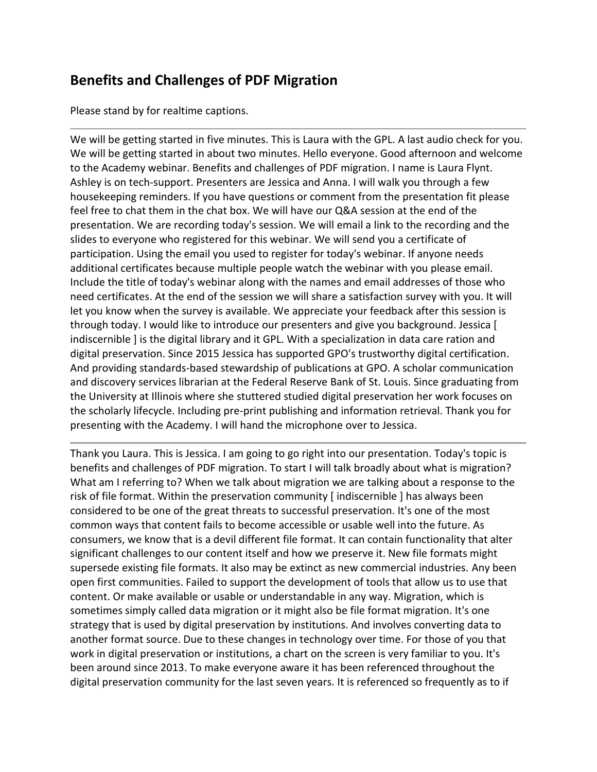## **Benefits and Challenges of PDF Migration**

Please stand by for realtime captions.

We will be getting started in five minutes. This is Laura with the GPL. A last audio check for you. We will be getting started in about two minutes. Hello everyone. Good afternoon and welcome to the Academy webinar. Benefits and challenges of PDF migration. I name is Laura Flynt. Ashley is on tech-support. Presenters are Jessica and Anna. I will walk you through a few housekeeping reminders. If you have questions or comment from the presentation fit please feel free to chat them in the chat box. We will have our Q&A session at the end of the presentation. We are recording today's session. We will email a link to the recording and the slides to everyone who registered for this webinar. We will send you a certificate of participation. Using the email you used to register for today's webinar. If anyone needs additional certificates because multiple people watch the webinar with you please email. Include the title of today's webinar along with the names and email addresses of those who need certificates. At the end of the session we will share a satisfaction survey with you. It will let you know when the survey is available. We appreciate your feedback after this session is through today. I would like to introduce our presenters and give you background. Jessica [ indiscernible ] is the digital library and it GPL. With a specialization in data care ration and digital preservation. Since 2015 Jessica has supported GPO's trustworthy digital certification. And providing standards-based stewardship of publications at GPO. A scholar communication and discovery services librarian at the Federal Reserve Bank of St. Louis. Since graduating from the University at Illinois where she stuttered studied digital preservation her work focuses on the scholarly lifecycle. Including pre-print publishing and information retrieval. Thank you for presenting with the Academy. I will hand the microphone over to Jessica.

Thank you Laura. This is Jessica. I am going to go right into our presentation. Today's topic is benefits and challenges of PDF migration. To start I will talk broadly about what is migration? What am I referring to? When we talk about migration we are talking about a response to the risk of file format. Within the preservation community [ indiscernible ] has always been considered to be one of the great threats to successful preservation. It's one of the most common ways that content fails to become accessible or usable well into the future. As consumers, we know that is a devil different file format. It can contain functionality that alter significant challenges to our content itself and how we preserve it. New file formats might supersede existing file formats. It also may be extinct as new commercial industries. Any been open first communities. Failed to support the development of tools that allow us to use that content. Or make available or usable or understandable in any way. Migration, which is sometimes simply called data migration or it might also be file format migration. It's one strategy that is used by digital preservation by institutions. And involves converting data to another format source. Due to these changes in technology over time. For those of you that work in digital preservation or institutions, a chart on the screen is very familiar to you. It's been around since 2013. To make everyone aware it has been referenced throughout the digital preservation community for the last seven years. It is referenced so frequently as to if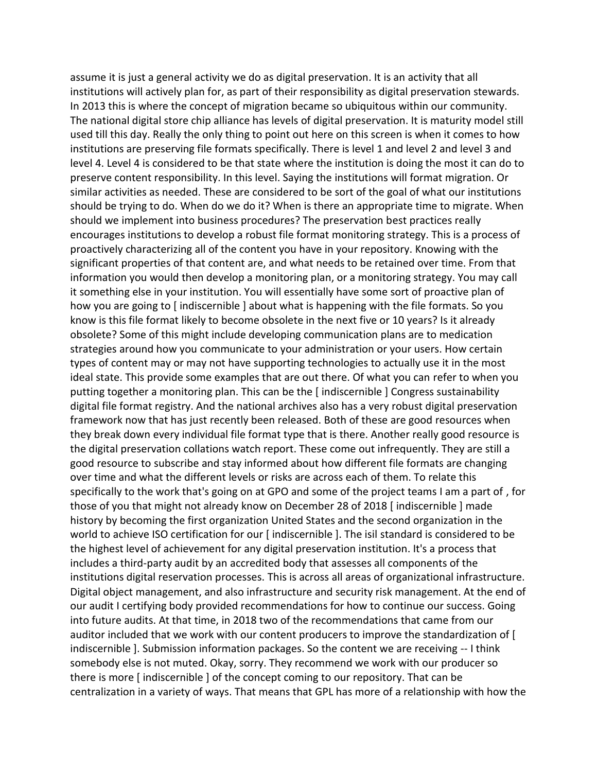assume it is just a general activity we do as digital preservation. It is an activity that all institutions will actively plan for, as part of their responsibility as digital preservation stewards. In 2013 this is where the concept of migration became so ubiquitous within our community. The national digital store chip alliance has levels of digital preservation. It is maturity model still used till this day. Really the only thing to point out here on this screen is when it comes to how institutions are preserving file formats specifically. There is level 1 and level 2 and level 3 and level 4. Level 4 is considered to be that state where the institution is doing the most it can do to preserve content responsibility. In this level. Saying the institutions will format migration. Or similar activities as needed. These are considered to be sort of the goal of what our institutions should be trying to do. When do we do it? When is there an appropriate time to migrate. When should we implement into business procedures? The preservation best practices really encourages institutions to develop a robust file format monitoring strategy. This is a process of proactively characterizing all of the content you have in your repository. Knowing with the significant properties of that content are, and what needs to be retained over time. From that information you would then develop a monitoring plan, or a monitoring strategy. You may call it something else in your institution. You will essentially have some sort of proactive plan of how you are going to [ indiscernible ] about what is happening with the file formats. So you know is this file format likely to become obsolete in the next five or 10 years? Is it already obsolete? Some of this might include developing communication plans are to medication strategies around how you communicate to your administration or your users. How certain types of content may or may not have supporting technologies to actually use it in the most ideal state. This provide some examples that are out there. Of what you can refer to when you putting together a monitoring plan. This can be the [ indiscernible ] Congress sustainability digital file format registry. And the national archives also has a very robust digital preservation framework now that has just recently been released. Both of these are good resources when they break down every individual file format type that is there. Another really good resource is the digital preservation collations watch report. These come out infrequently. They are still a good resource to subscribe and stay informed about how different file formats are changing over time and what the different levels or risks are across each of them. To relate this specifically to the work that's going on at GPO and some of the project teams I am a part of , for those of you that might not already know on December 28 of 2018 [ indiscernible ] made history by becoming the first organization United States and the second organization in the world to achieve ISO certification for our [indiscernible ]. The isil standard is considered to be the highest level of achievement for any digital preservation institution. It's a process that includes a third-party audit by an accredited body that assesses all components of the institutions digital reservation processes. This is across all areas of organizational infrastructure. Digital object management, and also infrastructure and security risk management. At the end of our audit I certifying body provided recommendations for how to continue our success. Going into future audits. At that time, in 2018 two of the recommendations that came from our auditor included that we work with our content producers to improve the standardization of [ indiscernible ]. Submission information packages. So the content we are receiving -- I think somebody else is not muted. Okay, sorry. They recommend we work with our producer so there is more [ indiscernible ] of the concept coming to our repository. That can be centralization in a variety of ways. That means that GPL has more of a relationship with how the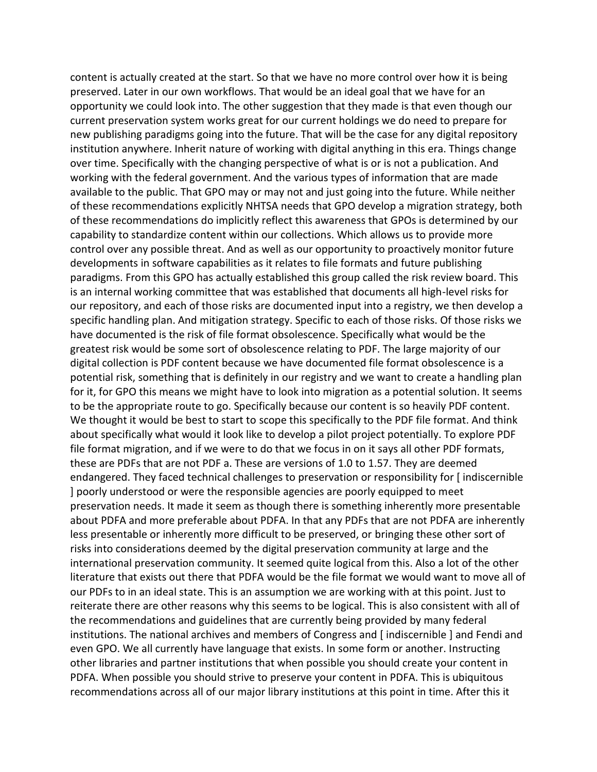content is actually created at the start. So that we have no more control over how it is being preserved. Later in our own workflows. That would be an ideal goal that we have for an opportunity we could look into. The other suggestion that they made is that even though our current preservation system works great for our current holdings we do need to prepare for new publishing paradigms going into the future. That will be the case for any digital repository institution anywhere. Inherit nature of working with digital anything in this era. Things change over time. Specifically with the changing perspective of what is or is not a publication. And working with the federal government. And the various types of information that are made available to the public. That GPO may or may not and just going into the future. While neither of these recommendations explicitly NHTSA needs that GPO develop a migration strategy, both of these recommendations do implicitly reflect this awareness that GPOs is determined by our capability to standardize content within our collections. Which allows us to provide more control over any possible threat. And as well as our opportunity to proactively monitor future developments in software capabilities as it relates to file formats and future publishing paradigms. From this GPO has actually established this group called the risk review board. This is an internal working committee that was established that documents all high-level risks for our repository, and each of those risks are documented input into a registry, we then develop a specific handling plan. And mitigation strategy. Specific to each of those risks. Of those risks we have documented is the risk of file format obsolescence. Specifically what would be the greatest risk would be some sort of obsolescence relating to PDF. The large majority of our digital collection is PDF content because we have documented file format obsolescence is a potential risk, something that is definitely in our registry and we want to create a handling plan for it, for GPO this means we might have to look into migration as a potential solution. It seems to be the appropriate route to go. Specifically because our content is so heavily PDF content. We thought it would be best to start to scope this specifically to the PDF file format. And think about specifically what would it look like to develop a pilot project potentially. To explore PDF file format migration, and if we were to do that we focus in on it says all other PDF formats, these are PDFs that are not PDF a. These are versions of 1.0 to 1.57. They are deemed endangered. They faced technical challenges to preservation or responsibility for [ indiscernible ] poorly understood or were the responsible agencies are poorly equipped to meet preservation needs. It made it seem as though there is something inherently more presentable about PDFA and more preferable about PDFA. In that any PDFs that are not PDFA are inherently less presentable or inherently more difficult to be preserved, or bringing these other sort of risks into considerations deemed by the digital preservation community at large and the international preservation community. It seemed quite logical from this. Also a lot of the other literature that exists out there that PDFA would be the file format we would want to move all of our PDFs to in an ideal state. This is an assumption we are working with at this point. Just to reiterate there are other reasons why this seems to be logical. This is also consistent with all of the recommendations and guidelines that are currently being provided by many federal institutions. The national archives and members of Congress and [ indiscernible ] and Fendi and even GPO. We all currently have language that exists. In some form or another. Instructing other libraries and partner institutions that when possible you should create your content in PDFA. When possible you should strive to preserve your content in PDFA. This is ubiquitous recommendations across all of our major library institutions at this point in time. After this it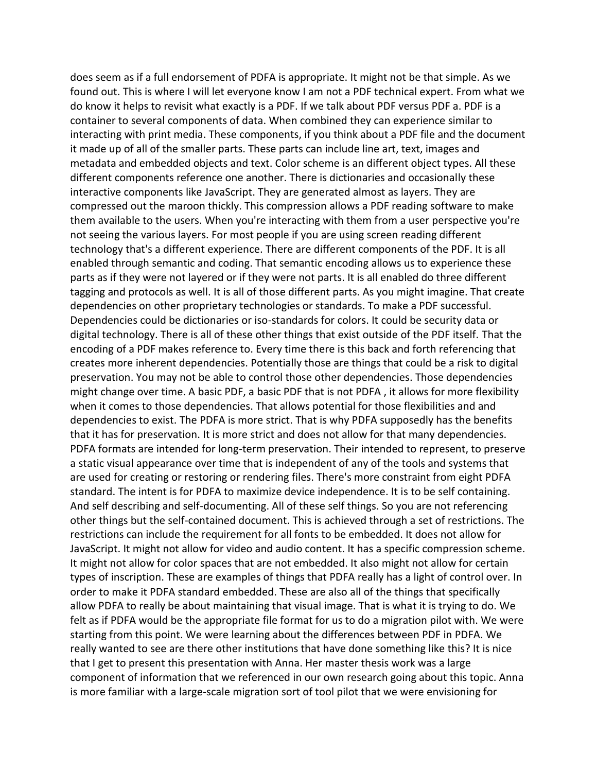does seem as if a full endorsement of PDFA is appropriate. It might not be that simple. As we found out. This is where I will let everyone know I am not a PDF technical expert. From what we do know it helps to revisit what exactly is a PDF. If we talk about PDF versus PDF a. PDF is a container to several components of data. When combined they can experience similar to interacting with print media. These components, if you think about a PDF file and the document it made up of all of the smaller parts. These parts can include line art, text, images and metadata and embedded objects and text. Color scheme is an different object types. All these different components reference one another. There is dictionaries and occasionally these interactive components like JavaScript. They are generated almost as layers. They are compressed out the maroon thickly. This compression allows a PDF reading software to make them available to the users. When you're interacting with them from a user perspective you're not seeing the various layers. For most people if you are using screen reading different technology that's a different experience. There are different components of the PDF. It is all enabled through semantic and coding. That semantic encoding allows us to experience these parts as if they were not layered or if they were not parts. It is all enabled do three different tagging and protocols as well. It is all of those different parts. As you might imagine. That create dependencies on other proprietary technologies or standards. To make a PDF successful. Dependencies could be dictionaries or iso-standards for colors. It could be security data or digital technology. There is all of these other things that exist outside of the PDF itself. That the encoding of a PDF makes reference to. Every time there is this back and forth referencing that creates more inherent dependencies. Potentially those are things that could be a risk to digital preservation. You may not be able to control those other dependencies. Those dependencies might change over time. A basic PDF, a basic PDF that is not PDFA , it allows for more flexibility when it comes to those dependencies. That allows potential for those flexibilities and and dependencies to exist. The PDFA is more strict. That is why PDFA supposedly has the benefits that it has for preservation. It is more strict and does not allow for that many dependencies. PDFA formats are intended for long-term preservation. Their intended to represent, to preserve a static visual appearance over time that is independent of any of the tools and systems that are used for creating or restoring or rendering files. There's more constraint from eight PDFA standard. The intent is for PDFA to maximize device independence. It is to be self containing. And self describing and self-documenting. All of these self things. So you are not referencing other things but the self-contained document. This is achieved through a set of restrictions. The restrictions can include the requirement for all fonts to be embedded. It does not allow for JavaScript. It might not allow for video and audio content. It has a specific compression scheme. It might not allow for color spaces that are not embedded. It also might not allow for certain types of inscription. These are examples of things that PDFA really has a light of control over. In order to make it PDFA standard embedded. These are also all of the things that specifically allow PDFA to really be about maintaining that visual image. That is what it is trying to do. We felt as if PDFA would be the appropriate file format for us to do a migration pilot with. We were starting from this point. We were learning about the differences between PDF in PDFA. We really wanted to see are there other institutions that have done something like this? It is nice that I get to present this presentation with Anna. Her master thesis work was a large component of information that we referenced in our own research going about this topic. Anna is more familiar with a large-scale migration sort of tool pilot that we were envisioning for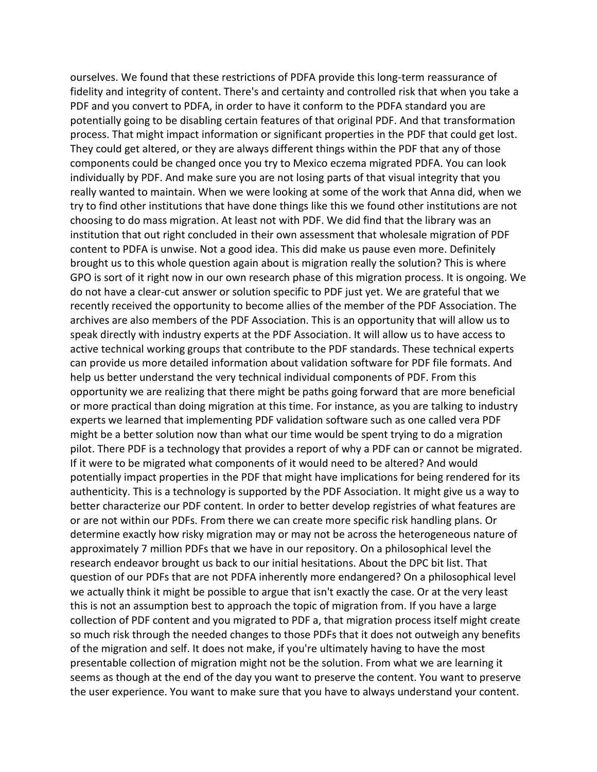ourselves. We found that these restrictions of PDFA provide this long-term reassurance of fidelity and integrity of content. There's and certainty and controlled risk that when you take a PDF and you convert to PDFA, in order to have it conform to the PDFA standard you are potentially going to be disabling certain features of that original PDF. And that transformation process. That might impact information or significant properties in the PDF that could get lost. They could get altered, or they are always different things within the PDF that any of those components could be changed once you try to Mexico eczema migrated PDFA. You can look individually by PDF. And make sure you are not losing parts of that visual integrity that you really wanted to maintain. When we were looking at some of the work that Anna did, when we try to find other institutions that have done things like this we found other institutions are not choosing to do mass migration. At least not with PDF. We did find that the library was an institution that out right concluded in their own assessment that wholesale migration of PDF content to PDFA is unwise. Not a good idea. This did make us pause even more. Definitely brought us to this whole question again about is migration really the solution? This is where GPO is sort of it right now in our own research phase of this migration process. It is ongoing. We do not have a clear-cut answer or solution specific to PDF just yet. We are grateful that we recently received the opportunity to become allies of the member of the PDF Association. The archives are also members of the PDF Association. This is an opportunity that will allow us to speak directly with industry experts at the PDF Association. It will allow us to have access to active technical working groups that contribute to the PDF standards. These technical experts can provide us more detailed information about validation software for PDF file formats. And help us better understand the very technical individual components of PDF. From this opportunity we are realizing that there might be paths going forward that are more beneficial or more practical than doing migration at this time. For instance, as you are talking to industry experts we learned that implementing PDF validation software such as one called vera PDF might be a better solution now than what our time would be spent trying to do a migration pilot. There PDF is a technology that provides a report of why a PDF can or cannot be migrated. If it were to be migrated what components of it would need to be altered? And would potentially impact properties in the PDF that might have implications for being rendered for its authenticity. This is a technology is supported by the PDF Association. It might give us a way to better characterize our PDF content. In order to better develop registries of what features are or are not within our PDFs. From there we can create more specific risk handling plans. Or determine exactly how risky migration may or may not be across the heterogeneous nature of approximately 7 million PDFs that we have in our repository. On a philosophical level the research endeavor brought us back to our initial hesitations. About the DPC bit list. That question of our PDFs that are not PDFA inherently more endangered? On a philosophical level we actually think it might be possible to argue that isn't exactly the case. Or at the very least this is not an assumption best to approach the topic of migration from. If you have a large collection of PDF content and you migrated to PDF a, that migration process itself might create so much risk through the needed changes to those PDFs that it does not outweigh any benefits of the migration and self. It does not make, if you're ultimately having to have the most presentable collection of migration might not be the solution. From what we are learning it seems as though at the end of the day you want to preserve the content. You want to preserve the user experience. You want to make sure that you have to always understand your content.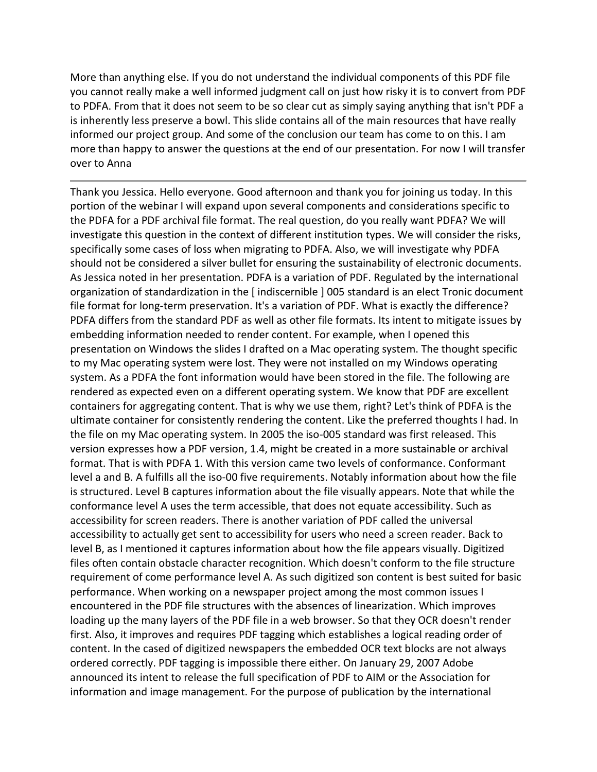More than anything else. If you do not understand the individual components of this PDF file you cannot really make a well informed judgment call on just how risky it is to convert from PDF to PDFA. From that it does not seem to be so clear cut as simply saying anything that isn't PDF a is inherently less preserve a bowl. This slide contains all of the main resources that have really informed our project group. And some of the conclusion our team has come to on this. I am more than happy to answer the questions at the end of our presentation. For now I will transfer over to Anna

Thank you Jessica. Hello everyone. Good afternoon and thank you for joining us today. In this portion of the webinar I will expand upon several components and considerations specific to the PDFA for a PDF archival file format. The real question, do you really want PDFA? We will investigate this question in the context of different institution types. We will consider the risks, specifically some cases of loss when migrating to PDFA. Also, we will investigate why PDFA should not be considered a silver bullet for ensuring the sustainability of electronic documents. As Jessica noted in her presentation. PDFA is a variation of PDF. Regulated by the international organization of standardization in the [ indiscernible ] 005 standard is an elect Tronic document file format for long-term preservation. It's a variation of PDF. What is exactly the difference? PDFA differs from the standard PDF as well as other file formats. Its intent to mitigate issues by embedding information needed to render content. For example, when I opened this presentation on Windows the slides I drafted on a Mac operating system. The thought specific to my Mac operating system were lost. They were not installed on my Windows operating system. As a PDFA the font information would have been stored in the file. The following are rendered as expected even on a different operating system. We know that PDF are excellent containers for aggregating content. That is why we use them, right? Let's think of PDFA is the ultimate container for consistently rendering the content. Like the preferred thoughts I had. In the file on my Mac operating system. In 2005 the iso-005 standard was first released. This version expresses how a PDF version, 1.4, might be created in a more sustainable or archival format. That is with PDFA 1. With this version came two levels of conformance. Conformant level a and B. A fulfills all the iso-00 five requirements. Notably information about how the file is structured. Level B captures information about the file visually appears. Note that while the conformance level A uses the term accessible, that does not equate accessibility. Such as accessibility for screen readers. There is another variation of PDF called the universal accessibility to actually get sent to accessibility for users who need a screen reader. Back to level B, as I mentioned it captures information about how the file appears visually. Digitized files often contain obstacle character recognition. Which doesn't conform to the file structure requirement of come performance level A. As such digitized son content is best suited for basic performance. When working on a newspaper project among the most common issues I encountered in the PDF file structures with the absences of linearization. Which improves loading up the many layers of the PDF file in a web browser. So that they OCR doesn't render first. Also, it improves and requires PDF tagging which establishes a logical reading order of content. In the cased of digitized newspapers the embedded OCR text blocks are not always ordered correctly. PDF tagging is impossible there either. On January 29, 2007 Adobe announced its intent to release the full specification of PDF to AIM or the Association for information and image management. For the purpose of publication by the international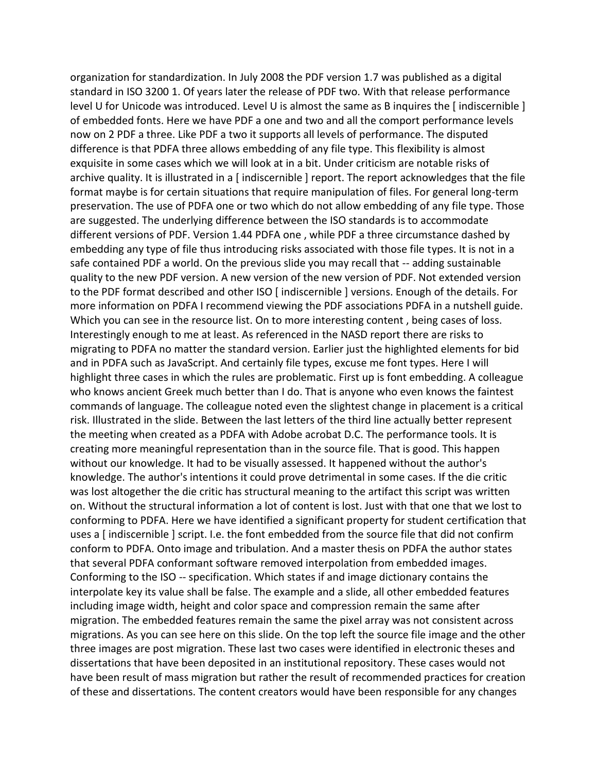organization for standardization. In July 2008 the PDF version 1.7 was published as a digital standard in ISO 3200 1. Of years later the release of PDF two. With that release performance level U for Unicode was introduced. Level U is almost the same as B inquires the [ indiscernible ] of embedded fonts. Here we have PDF a one and two and all the comport performance levels now on 2 PDF a three. Like PDF a two it supports all levels of performance. The disputed difference is that PDFA three allows embedding of any file type. This flexibility is almost exquisite in some cases which we will look at in a bit. Under criticism are notable risks of archive quality. It is illustrated in a [indiscernible ] report. The report acknowledges that the file format maybe is for certain situations that require manipulation of files. For general long-term preservation. The use of PDFA one or two which do not allow embedding of any file type. Those are suggested. The underlying difference between the ISO standards is to accommodate different versions of PDF. Version 1.44 PDFA one , while PDF a three circumstance dashed by embedding any type of file thus introducing risks associated with those file types. It is not in a safe contained PDF a world. On the previous slide you may recall that -- adding sustainable quality to the new PDF version. A new version of the new version of PDF. Not extended version to the PDF format described and other ISO [ indiscernible ] versions. Enough of the details. For more information on PDFA I recommend viewing the PDF associations PDFA in a nutshell guide. Which you can see in the resource list. On to more interesting content , being cases of loss. Interestingly enough to me at least. As referenced in the NASD report there are risks to migrating to PDFA no matter the standard version. Earlier just the highlighted elements for bid and in PDFA such as JavaScript. And certainly file types, excuse me font types. Here I will highlight three cases in which the rules are problematic. First up is font embedding. A colleague who knows ancient Greek much better than I do. That is anyone who even knows the faintest commands of language. The colleague noted even the slightest change in placement is a critical risk. Illustrated in the slide. Between the last letters of the third line actually better represent the meeting when created as a PDFA with Adobe acrobat D.C. The performance tools. It is creating more meaningful representation than in the source file. That is good. This happen without our knowledge. It had to be visually assessed. It happened without the author's knowledge. The author's intentions it could prove detrimental in some cases. If the die critic was lost altogether the die critic has structural meaning to the artifact this script was written on. Without the structural information a lot of content is lost. Just with that one that we lost to conforming to PDFA. Here we have identified a significant property for student certification that uses a [ indiscernible ] script. I.e. the font embedded from the source file that did not confirm conform to PDFA. Onto image and tribulation. And a master thesis on PDFA the author states that several PDFA conformant software removed interpolation from embedded images. Conforming to the ISO -- specification. Which states if and image dictionary contains the interpolate key its value shall be false. The example and a slide, all other embedded features including image width, height and color space and compression remain the same after migration. The embedded features remain the same the pixel array was not consistent across migrations. As you can see here on this slide. On the top left the source file image and the other three images are post migration. These last two cases were identified in electronic theses and dissertations that have been deposited in an institutional repository. These cases would not have been result of mass migration but rather the result of recommended practices for creation of these and dissertations. The content creators would have been responsible for any changes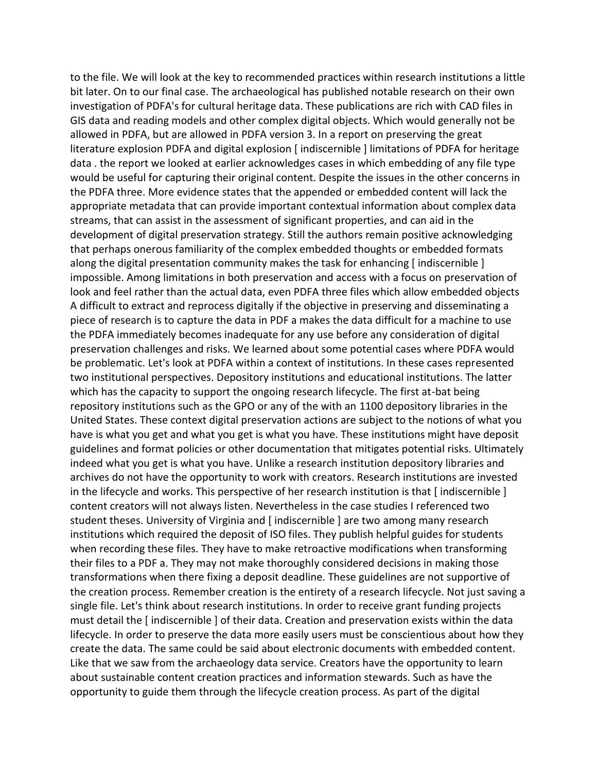to the file. We will look at the key to recommended practices within research institutions a little bit later. On to our final case. The archaeological has published notable research on their own investigation of PDFA's for cultural heritage data. These publications are rich with CAD files in GIS data and reading models and other complex digital objects. Which would generally not be allowed in PDFA, but are allowed in PDFA version 3. In a report on preserving the great literature explosion PDFA and digital explosion [ indiscernible ] limitations of PDFA for heritage data . the report we looked at earlier acknowledges cases in which embedding of any file type would be useful for capturing their original content. Despite the issues in the other concerns in the PDFA three. More evidence states that the appended or embedded content will lack the appropriate metadata that can provide important contextual information about complex data streams, that can assist in the assessment of significant properties, and can aid in the development of digital preservation strategy. Still the authors remain positive acknowledging that perhaps onerous familiarity of the complex embedded thoughts or embedded formats along the digital presentation community makes the task for enhancing [indiscernible] impossible. Among limitations in both preservation and access with a focus on preservation of look and feel rather than the actual data, even PDFA three files which allow embedded objects A difficult to extract and reprocess digitally if the objective in preserving and disseminating a piece of research is to capture the data in PDF a makes the data difficult for a machine to use the PDFA immediately becomes inadequate for any use before any consideration of digital preservation challenges and risks. We learned about some potential cases where PDFA would be problematic. Let's look at PDFA within a context of institutions. In these cases represented two institutional perspectives. Depository institutions and educational institutions. The latter which has the capacity to support the ongoing research lifecycle. The first at-bat being repository institutions such as the GPO or any of the with an 1100 depository libraries in the United States. These context digital preservation actions are subject to the notions of what you have is what you get and what you get is what you have. These institutions might have deposit guidelines and format policies or other documentation that mitigates potential risks. Ultimately indeed what you get is what you have. Unlike a research institution depository libraries and archives do not have the opportunity to work with creators. Research institutions are invested in the lifecycle and works. This perspective of her research institution is that [ indiscernible ] content creators will not always listen. Nevertheless in the case studies I referenced two student theses. University of Virginia and [ indiscernible ] are two among many research institutions which required the deposit of ISO files. They publish helpful guides for students when recording these files. They have to make retroactive modifications when transforming their files to a PDF a. They may not make thoroughly considered decisions in making those transformations when there fixing a deposit deadline. These guidelines are not supportive of the creation process. Remember creation is the entirety of a research lifecycle. Not just saving a single file. Let's think about research institutions. In order to receive grant funding projects must detail the [ indiscernible ] of their data. Creation and preservation exists within the data lifecycle. In order to preserve the data more easily users must be conscientious about how they create the data. The same could be said about electronic documents with embedded content. Like that we saw from the archaeology data service. Creators have the opportunity to learn about sustainable content creation practices and information stewards. Such as have the opportunity to guide them through the lifecycle creation process. As part of the digital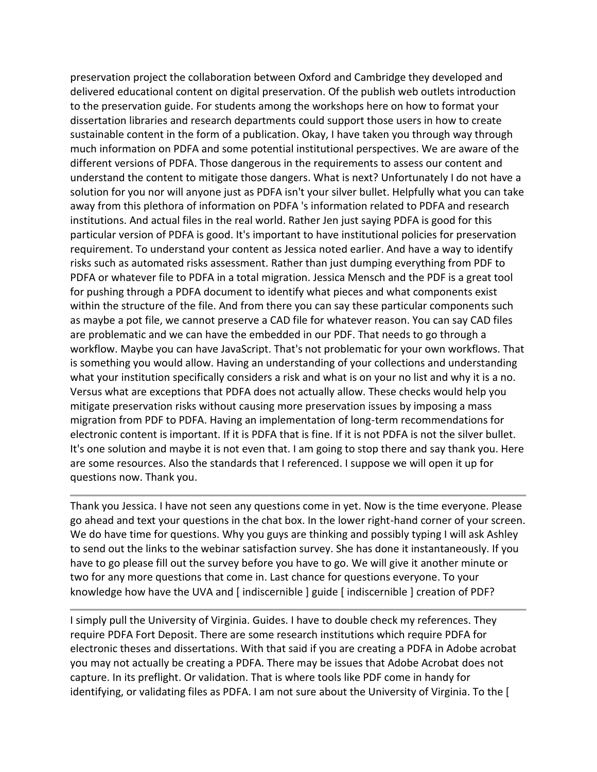preservation project the collaboration between Oxford and Cambridge they developed and delivered educational content on digital preservation. Of the publish web outlets introduction to the preservation guide. For students among the workshops here on how to format your dissertation libraries and research departments could support those users in how to create sustainable content in the form of a publication. Okay, I have taken you through way through much information on PDFA and some potential institutional perspectives. We are aware of the different versions of PDFA. Those dangerous in the requirements to assess our content and understand the content to mitigate those dangers. What is next? Unfortunately I do not have a solution for you nor will anyone just as PDFA isn't your silver bullet. Helpfully what you can take away from this plethora of information on PDFA 's information related to PDFA and research institutions. And actual files in the real world. Rather Jen just saying PDFA is good for this particular version of PDFA is good. It's important to have institutional policies for preservation requirement. To understand your content as Jessica noted earlier. And have a way to identify risks such as automated risks assessment. Rather than just dumping everything from PDF to PDFA or whatever file to PDFA in a total migration. Jessica Mensch and the PDF is a great tool for pushing through a PDFA document to identify what pieces and what components exist within the structure of the file. And from there you can say these particular components such as maybe a pot file, we cannot preserve a CAD file for whatever reason. You can say CAD files are problematic and we can have the embedded in our PDF. That needs to go through a workflow. Maybe you can have JavaScript. That's not problematic for your own workflows. That is something you would allow. Having an understanding of your collections and understanding what your institution specifically considers a risk and what is on your no list and why it is a no. Versus what are exceptions that PDFA does not actually allow. These checks would help you mitigate preservation risks without causing more preservation issues by imposing a mass migration from PDF to PDFA. Having an implementation of long-term recommendations for electronic content is important. If it is PDFA that is fine. If it is not PDFA is not the silver bullet. It's one solution and maybe it is not even that. I am going to stop there and say thank you. Here are some resources. Also the standards that I referenced. I suppose we will open it up for questions now. Thank you.

Thank you Jessica. I have not seen any questions come in yet. Now is the time everyone. Please go ahead and text your questions in the chat box. In the lower right-hand corner of your screen. We do have time for questions. Why you guys are thinking and possibly typing I will ask Ashley to send out the links to the webinar satisfaction survey. She has done it instantaneously. If you have to go please fill out the survey before you have to go. We will give it another minute or two for any more questions that come in. Last chance for questions everyone. To your knowledge how have the UVA and [ indiscernible ] guide [ indiscernible ] creation of PDF?

I simply pull the University of Virginia. Guides. I have to double check my references. They require PDFA Fort Deposit. There are some research institutions which require PDFA for electronic theses and dissertations. With that said if you are creating a PDFA in Adobe acrobat you may not actually be creating a PDFA. There may be issues that Adobe Acrobat does not capture. In its preflight. Or validation. That is where tools like PDF come in handy for identifying, or validating files as PDFA. I am not sure about the University of Virginia. To the [